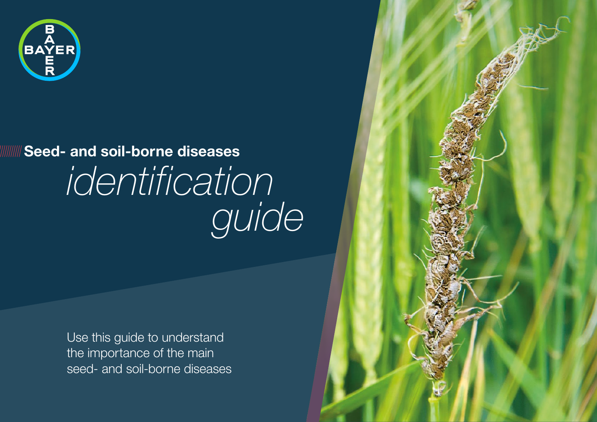

# *identification guide* **Seed- and soil-borne diseases**

Use this guide to understand the importance of the main seed- and soil-borne diseases

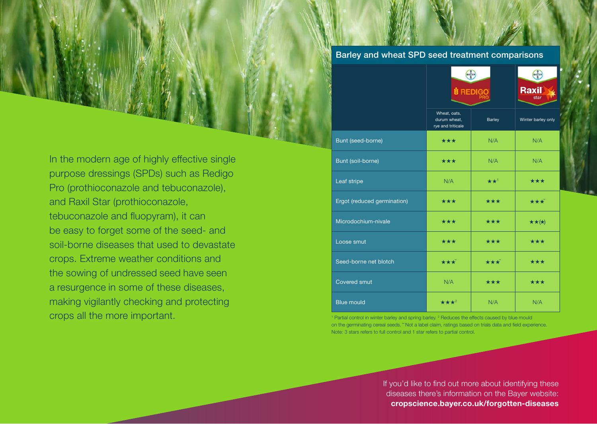Barley and wheat SPD seed treatment comparisons

In the modern age of highly effective single purpose dressings (SPDs) such as Redigo Pro (prothioconazole and tebuconazole), and Raxil Star (prothioconazole, tebuconazole and fluopyram), it can be easy to forget some of the seed- and soil-borne diseases that used to devastate crops. Extreme weather conditions and the sowing of undressed seed have seen a resurgence in some of these diseases, making vigilantly checking and protecting crops all the more important.

|                             | BAVER<br><b><i>S</i></b> REDIGO                   |                   | BAVER<br><b>Raxil</b><br>star |
|-----------------------------|---------------------------------------------------|-------------------|-------------------------------|
|                             | Wheat, oats,<br>durum wheat,<br>rye and triticale | Barley            | Winter barley only            |
| Bunt (seed-borne)           | ***                                               | N/A               | N/A                           |
| Bunt (soil-borne)           | ***                                               | N/A               | N/A                           |
| Leaf stripe                 | N/A                                               | $\star \star^1$   | ***                           |
| Ergot (reduced germination) | ***                                               | ***               | $\star\star\star$             |
| Microdochium-nivale         | ***                                               | ***               | $\star \star (\star)$         |
| Loose smut                  | $\star\star\star$                                 | $\star\star\star$ | $\star\star\star$             |
| Seed-borne net blotch       | $\star\star\star$                                 | $\star\star\star$ | $\star\star\star$             |
| <b>Covered smut</b>         | N/A                                               | ***               | ***                           |
| <b>Blue mould</b>           | $\star\star\star^2$                               | N/A               | N/A                           |

Partial control in winter barley and spring barley. <sup>2</sup> Reduces the effects caused by blue mould on the germinating cereal seeds. "Not a label claim, ratings based on trials data and field experience. Note: 3 stars refers to full control and 1 star refers to partial control.

> If you'd like to find out more about identifying these diseases there's information on the Bayer website: **[cropscience.bayer.co.uk/forgotten-diseases](https://cropscience.bayer.co.uk/forgotten-diseases)**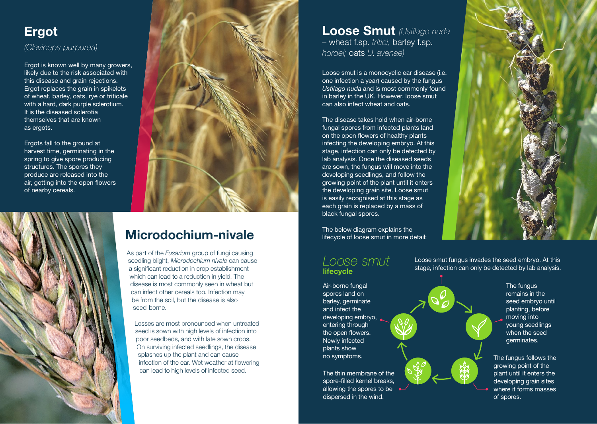### **Ergot** *(Claviceps purpurea)*

Ergot is known well by many growers, likely due to the risk associated with this disease and grain rejections. Ergot replaces the grain in spikelets of wheat, barley, oats, rye or triticale with a hard, dark purple sclerotium. It is the diseased sclerotia themselves that are known as ergots.

Ergots fall to the ground at harvest time, germinating in the spring to give spore producing structures. The spores they produce are released into the air, getting into the open flowers of nearby cereals.





# **Microdochium-nivale**

As part of the *Fusarium* group of fungi causing seedling blight, *Microdochium nivale* can cause a significant reduction in crop establishment which can lead to a reduction in yield. The disease is most commonly seen in wheat but can infect other cereals too. Infection may be from the soil, but the disease is also seed-borne.

Losses are most pronounced when untreated seed is sown with high levels of infection into poor seedbeds, and with late sown crops. On surviving infected seedlings, the disease splashes up the plant and can cause infection of the ear. Wet weather at flowering can lead to high levels of infected seed.

**Loose Smut** *(Ustilago nuda –* wheat f.sp. *tritici;* barley f.sp. *hordei;* oats *U. avenae)*

Loose smut is a monocyclic ear disease (i.e. one infection a year) caused by the fungus *Ustilago nuda* and is most commonly found in barley in the UK. However, loose smut can also infect wheat and oats.

The disease takes hold when air-borne fungal spores from infected plants land on the open flowers of healthy plants infecting the developing embryo. At this stage, infection can only be detected by lab analysis. Once the diseased seeds are sown, the fungus will move into the developing seedlings, and follow the growing point of the plant until it enters the developing grain site. Loose smut is easily recognised at this stage as each grain is replaced by a mass of black fungal spores.

The below diagram explains the lifecycle of loose smut in more detail:

### **lifecycle** *Loose smut*

Air-borne fungal spores land on barley, germinate and infect the developing embryo, entering through the open flowers. Newly infected plants show no symptoms.

The thin membrane of the spore-filled kernel breaks, allowing the spores to be dispersed in the wind.



Loose smut fungus invades the seed embryo. At this stage, infection can only be detected by lab analysis.



The fungus follows the growing point of the plant until it enters the developing grain sites where it forms masses of spores.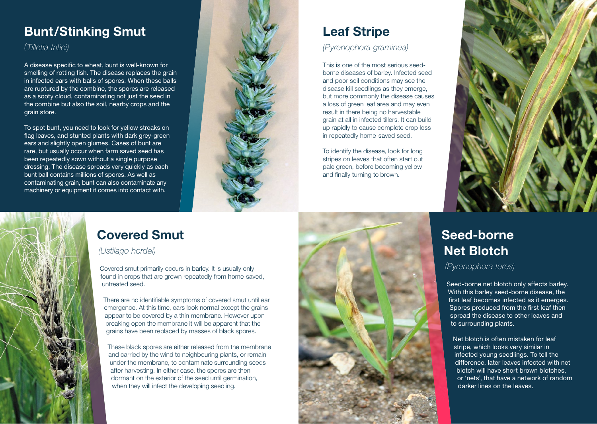### **Bunt/Stinking Smut**

### *(Tilletia tritici)*

A disease specific to wheat, bunt is well-known for smelling of rotting fish. The disease replaces the grain in infected ears with balls of spores. When these balls are ruptured by the combine, the spores are released as a sooty cloud, contaminating not just the seed in the combine but also the soil, nearby crops and the grain store.

To spot bunt, you need to look for yellow streaks on flag leaves, and stunted plants with dark grey-green ears and slightly open glumes. Cases of bunt are rare, but usually occur when farm saved seed has been repeatedly sown without a single purpose dressing. The disease spreads very quickly as each bunt ball contains millions of spores. As well as contaminating grain, bunt can also contaminate any machinery or equipment it comes into contact with.



## **Covered Smut**

### *(Ustilago hordei)*

Covered smut primarily occurs in barley. It is usually only found in crops that are grown repeatedly from home-saved, untreated seed.

There are no identifiable symptoms of covered smut until ear emergence. At this time, ears look normal except the grains appear to be covered by a thin membrane. However upon breaking open the membrane it will be apparent that the grains have been replaced by masses of black spores.

These black spores are either released from the membrane and carried by the wind to neighbouring plants, or remain under the membrane, to contaminate surrounding seeds after harvesting. In either case, the spores are then dormant on the exterior of the seed until germination, when they will infect the developing seedling.

### **Leaf Stripe** *(Pyrenophora graminea)*

This is one of the most serious seedborne diseases of barley. Infected seed and poor soil conditions may see the disease kill seedlings as they emerge, but more commonly the disease causes a loss of green leaf area and may even result in there being no harvestable grain at all in infected tillers. It can build up rapidly to cause complete crop loss in repeatedly home-saved seed.

To identify the disease, look for long stripes on leaves that often start out pale green, before becoming yellow and finally turning to brown.





### **Seed-borne Net Blotch**

*(Pyrenophora teres)*

Seed-borne net blotch only affects barley. With this barley seed-borne disease, the first leaf becomes infected as it emerges. Spores produced from the first leaf then spread the disease to other leaves and to surrounding plants.

Net blotch is often mistaken for leaf stripe, which looks very similar in infected young seedlings. To tell the difference, later leaves infected with net blotch will have short brown blotches, or 'nets', that have a network of random darker lines on the leaves.